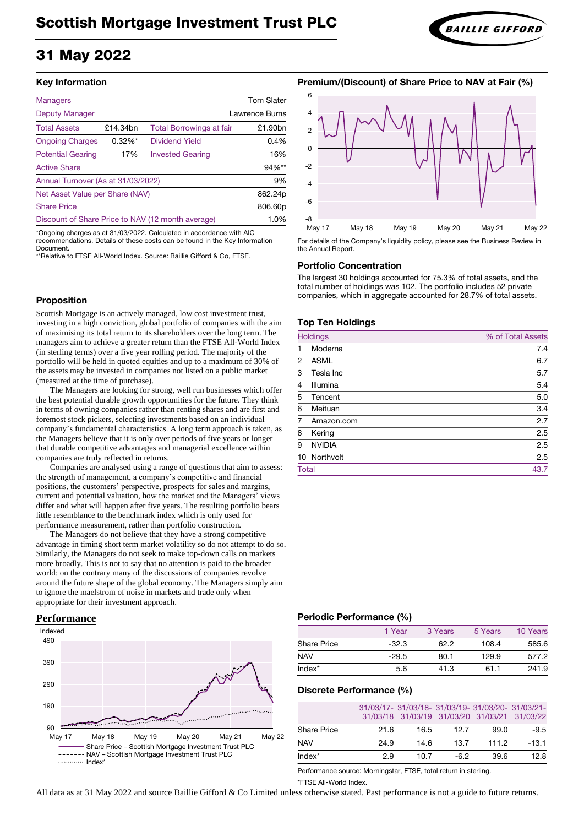# 31 May 2022

## **Key Information**

| <b>Managers</b>                                   |            |                                 | <b>Tom Slater</b>     |
|---------------------------------------------------|------------|---------------------------------|-----------------------|
| <b>Deputy Manager</b>                             |            |                                 | <b>Lawrence Burns</b> |
| <b>Total Assets</b>                               | £14.34bn   | <b>Total Borrowings at fair</b> | £1.90bn               |
| <b>Ongoing Charges</b>                            | $0.32\%$ * | Dividend Yield                  | 0.4%                  |
| <b>Potential Gearing</b>                          | 17%        | <b>Invested Gearing</b>         | 16%                   |
| <b>Active Share</b>                               |            |                                 | 94%**                 |
| Annual Turnover (As at 31/03/2022)                |            |                                 | 9%                    |
| Net Asset Value per Share (NAV)                   |            |                                 | 862.24p               |
| <b>Share Price</b>                                |            |                                 | 806.60p               |
| Discount of Share Price to NAV (12 month average) |            |                                 | 1.0%                  |

\*Ongoing charges as at 31/03/2022. Calculated in accordance with AIC recommendations. Details of these costs can be found in the Key Information **Document** 

\*\*Relative to FTSE All-World Index. Source: Baillie Gifford & Co, FTSE.

### **Proposition**

Scottish Mortgage is an actively managed, low cost investment trust, investing in a high conviction, global portfolio of companies with the aim of maximising its total return to its shareholders over the long term. The managers aim to achieve a greater return than the FTSE All-World Index (in sterling terms) over a five year rolling period. The majority of the portfolio will be held in quoted equities and up to a maximum of 30% of the assets may be invested in companies not listed on a public market (measured at the time of purchase).

The Managers are looking for strong, well run businesses which offer the best potential durable growth opportunities for the future. They think in terms of owning companies rather than renting shares and are first and foremost stock pickers, selecting investments based on an individual company's fundamental characteristics. A long term approach is taken, as the Managers believe that it is only over periods of five years or longer that durable competitive advantages and managerial excellence within companies are truly reflected in returns.

Companies are analysed using a range of questions that aim to assess: the strength of management, a company's competitive and financial positions, the customers' perspective, prospects for sales and margins, current and potential valuation, how the market and the Managers' views differ and what will happen after five years. The resulting portfolio bears little resemblance to the benchmark index which is only used for performance measurement, rather than portfolio construction.

The Managers do not believe that they have a strong competitive advantage in timing short term market volatility so do not attempt to do so. Similarly, the Managers do not seek to make top-down calls on markets more broadly. This is not to say that no attention is paid to the broader world: on the contrary many of the discussions of companies revolve around the future shape of the global economy. The Managers simply aim to ignore the maelstrom of noise in markets and trade only when appropriate for their investment approach.





For details of the Company's liquidity policy, please see the Business Review in the Annual Report.

#### **Portfolio Concentration**

The largest 30 holdings accounted for 75.3% of total assets, and the total number of holdings was 102. The portfolio includes 52 private companies, which in aggregate accounted for 28.7% of total assets.

#### **Top Ten Holdings**

|                | <b>Holdings</b> | % of Total Assets |
|----------------|-----------------|-------------------|
|                | Moderna         | 7.4               |
| $\overline{2}$ | <b>ASML</b>     | 6.7               |
| 3              | Tesla Inc       | 5.7               |
| $\overline{4}$ | Illumina        | 5.4               |
| 5              | Tencent         | 5.0               |
| 6              | Meituan         | 3.4               |
| 7              | Amazon.com      | 2.7               |
| 8              | Kering          | 2.5               |
| 9              | <b>NVIDIA</b>   | 2.5               |
|                | 10 Northvolt    | 2.5               |
| <b>Total</b>   |                 | 43.7              |

# **Performance Periodic Performance (%)**

|                    | 1 Year  | 3 Years | 5 Years | 10 Years |
|--------------------|---------|---------|---------|----------|
| <b>Share Price</b> | $-32.3$ | 62.2    | 108.4   | 585.6    |
| <b>NAV</b>         | $-29.5$ | 80.1    | 129.9   | 577.2    |
| $Index*$           | 5.6     | 41.3    | 61.1    | 241.9    |

#### **Discrete Performance (%)**

|                    |      | 31/03/17- 31/03/18- 31/03/19- 31/03/20- 31/03/21-<br>31/03/18 31/03/19 31/03/20 31/03/21 31/03/22 |       |       |         |
|--------------------|------|---------------------------------------------------------------------------------------------------|-------|-------|---------|
| <b>Share Price</b> | 21.6 | 16.5                                                                                              | 12.7  | 99.0  | $-9.5$  |
| <b>NAV</b>         | 24.9 | 14.6                                                                                              | 13.7  | 111.2 | $-13.1$ |
| $Index^*$          | 29   | 10.7                                                                                              | $-62$ | 39.6  | 12.8    |

Performance source: Morningstar, FTSE, total return in sterling.

\*FTSE All-World Index.

All data as at 31 May 2022 and source Baillie Gifford & Co Limited unless otherwise stated. Past performance is not a guide to future returns.



# **Premium/(Discount) of Share Price to NAV at Fair (%)**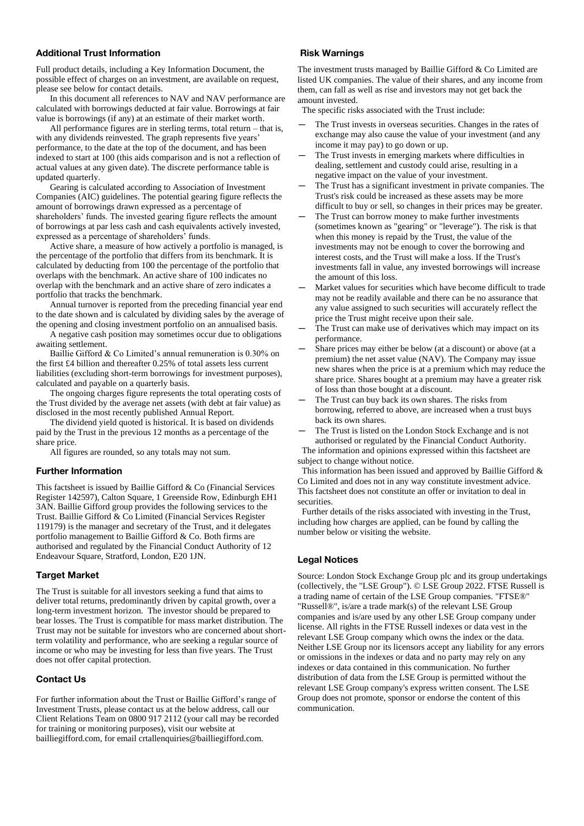# **Additional Trust Information**

Full product details, including a Key Information Document, the possible effect of charges on an investment, are available on request, please see below for contact details.

In this document all references to NAV and NAV performance are calculated with borrowings deducted at fair value. Borrowings at fair value is borrowings (if any) at an estimate of their market worth.

All performance figures are in sterling terms, total return – that is, with any dividends reinvested. The graph represents five years' performance, to the date at the top of the document, and has been indexed to start at 100 (this aids comparison and is not a reflection of actual values at any given date). The discrete performance table is updated quarterly.

Gearing is calculated according to Association of Investment Companies (AIC) guidelines. The potential gearing figure reflects the amount of borrowings drawn expressed as a percentage of shareholders' funds. The invested gearing figure reflects the amount of borrowings at par less cash and cash equivalents actively invested, expressed as a percentage of shareholders' funds.

Active share, a measure of how actively a portfolio is managed, is the percentage of the portfolio that differs from its benchmark. It is calculated by deducting from 100 the percentage of the portfolio that overlaps with the benchmark. An active share of 100 indicates no overlap with the benchmark and an active share of zero indicates a portfolio that tracks the benchmark.

Annual turnover is reported from the preceding financial year end to the date shown and is calculated by dividing sales by the average of the opening and closing investment portfolio on an annualised basis.

A negative cash position may sometimes occur due to obligations awaiting settlement.

Baillie Gifford & Co Limited's annual remuneration is 0.30% on the first £4 billion and thereafter 0.25% of total assets less current liabilities (excluding short-term borrowings for investment purposes), calculated and payable on a quarterly basis.

The ongoing charges figure represents the total operating costs of the Trust divided by the average net assets (with debt at fair value) as disclosed in the most recently published Annual Report.

The dividend yield quoted is historical. It is based on dividends paid by the Trust in the previous 12 months as a percentage of the share price.

All figures are rounded, so any totals may not sum.

#### **Further Information**

This factsheet is issued by Baillie Gifford & Co (Financial Services Register 142597), Calton Square, 1 Greenside Row, Edinburgh EH1 3AN. Baillie Gifford group provides the following services to the Trust. Baillie Gifford & Co Limited (Financial Services Register 119179) is the manager and secretary of the Trust, and it delegates portfolio management to Baillie Gifford & Co. Both firms are authorised and regulated by the Financial Conduct Authority of 12 Endeavour Square, Stratford, London, E20 1JN.

### **Target Market**

The Trust is suitable for all investors seeking a fund that aims to deliver total returns, predominantly driven by capital growth, over a long-term investment horizon. The investor should be prepared to bear losses. The Trust is compatible for mass market distribution. The Trust may not be suitable for investors who are concerned about shortterm volatility and performance, who are seeking a regular source of income or who may be investing for less than five years. The Trust does not offer capital protection.

# **Contact Us**

For further information about the Trust or Baillie Gifford's range of Investment Trusts, please contact us at the below address, call our Client Relations Team on 0800 917 2112 (your call may be recorded for training or monitoring purposes), visit our website at bailliegifford.com, for email crtallenquiries@bailliegifford.com.

# **Risk Warnings**

The investment trusts managed by Baillie Gifford & Co Limited are listed UK companies. The value of their shares, and any income from them, can fall as well as rise and investors may not get back the amount invested.

The specific risks associated with the Trust include:

- The Trust invests in overseas securities. Changes in the rates of exchange may also cause the value of your investment (and any income it may pay) to go down or up.
- The Trust invests in emerging markets where difficulties in dealing, settlement and custody could arise, resulting in a negative impact on the value of your investment.
- The Trust has a significant investment in private companies. The Trust's risk could be increased as these assets may be more difficult to buy or sell, so changes in their prices may be greater.
- The Trust can borrow money to make further investments (sometimes known as "gearing" or "leverage"). The risk is that when this money is repaid by the Trust, the value of the investments may not be enough to cover the borrowing and interest costs, and the Trust will make a loss. If the Trust's investments fall in value, any invested borrowings will increase the amount of this loss.
- Market values for securities which have become difficult to trade may not be readily available and there can be no assurance that any value assigned to such securities will accurately reflect the price the Trust might receive upon their sale.
- The Trust can make use of derivatives which may impact on its performance.
- Share prices may either be below (at a discount) or above (at a premium) the net asset value (NAV). The Company may issue new shares when the price is at a premium which may reduce the share price. Shares bought at a premium may have a greater risk of loss than those bought at a discount.
- The Trust can buy back its own shares. The risks from borrowing, referred to above, are increased when a trust buys back its own shares.
- The Trust is listed on the London Stock Exchange and is not authorised or regulated by the Financial Conduct Authority.

 The information and opinions expressed within this factsheet are subject to change without notice.

This information has been issued and approved by Baillie Gifford & Co Limited and does not in any way constitute investment advice. This factsheet does not constitute an offer or invitation to deal in securities.

 Further details of the risks associated with investing in the Trust, including how charges are applied, can be found by calling the number below or visiting the website.

# **Legal Notices**

Source: London Stock Exchange Group plc and its group undertakings (collectively, the "LSE Group"). © LSE Group 2022. FTSE Russell is a trading name of certain of the LSE Group companies. "FTSE®" "Russell®", is/are a trade mark(s) of the relevant LSE Group companies and is/are used by any other LSE Group company under license. All rights in the FTSE Russell indexes or data vest in the relevant LSE Group company which owns the index or the data. Neither LSE Group nor its licensors accept any liability for any errors or omissions in the indexes or data and no party may rely on any indexes or data contained in this communication. No further distribution of data from the LSE Group is permitted without the relevant LSE Group company's express written consent. The LSE Group does not promote, sponsor or endorse the content of this communication.